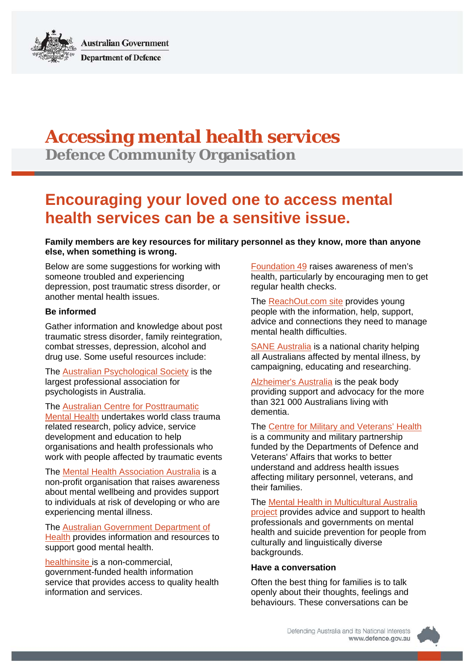**Australian Government Department of Defence** 

# **Accessing mental health services**

**Defence Community Organisation**

# **Encouraging your loved one to access mental health services can be a sensitive issue.**

**Family members are key resources for military personnel as they know, more than anyone else, when something is wrong.** 

Below are some suggestions for working with someone troubled and experiencing depression, post traumatic stress disorder, or another mental health issues.

## **Be informed**

Gather information and knowledge about post traumatic stress disorder, family reintegration, combat stresses, depression, alcohol and drug use. Some useful resources include:

The [Australian Psychological Society](http://www.psychology.org.au/) is the largest professional association for psychologists in Australia.

The [Australian Centre for Posttraumatic](http://www.acpmh.unimelb.edu.au/) 

[Mental Health](http://www.acpmh.unimelb.edu.au/) undertakes world class trauma related research, policy advice, service development and education to help organisations and health professionals who work with people affected by traumatic events

The [Mental Health Association Australia](http://www.mentalhealth.org.au/) is a non-profit organisation that raises awareness about mental wellbeing and provides support to individuals at risk of developing or who are experiencing mental illness.

The [Australian Government Department of](http://www.health.gov.au/internet/main/publishing.nsf/Content/Mental+Health+and+Wellbeing-1)  [Health](http://www.health.gov.au/internet/main/publishing.nsf/Content/Mental+Health+and+Wellbeing-1) provides information and resources to support good mental health.

[healthinsite](http://www.healthinsite.gov.au/) is a non-commercial, government-funded health information service that provides access to quality health information and services.

[Foundation 49](http://www.49.com.au/) raises awareness of men's health, particularly by encouraging men to get regular health checks.

The [ReachOut.com site](http://au.reachout.com/) provides young people with the information, help, support, advice and connections they need to manage mental health difficulties.

[SANE Australia](http://www.sane.org/) is a national charity helping all Australians affected by mental illness, by campaigning, educating and researching.

[Alzheimer's Australia](http://www.fightdementia.org.au/) is the peak body providing support and advocacy for the more than 321 000 Australians living with dementia.

The [Centre for Military and Veterans' Health](http://www.cmvh.org.au/) is a community and military partnership funded by the Departments of Defence and Veterans' Affairs that works to better understand and address health issues affecting military personnel, veterans, and their families.

The [Mental Health in Multicultural Australia](http://www.mhima.org.au/)  [project](http://www.mhima.org.au/) provides advice and support to health professionals and governments on mental health and suicide prevention for people from culturally and linguistically diverse backgrounds.

#### **Have a conversation**

Often the best thing for families is to talk openly about their thoughts, feelings and behaviours. These conversations can be